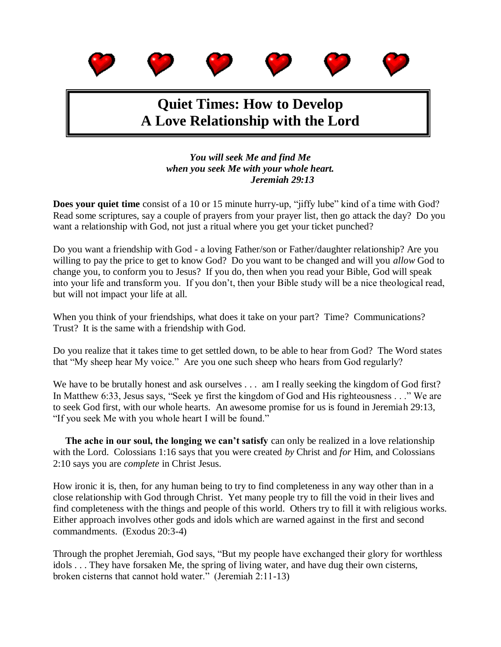









## **Quiet Times: How to Develop A Love Relationship with the Lord**

*You will seek Me and find Me when you seek Me with your whole heart. Jeremiah 29:13*

**Does your quiet time** consist of a 10 or 15 minute hurry-up, "jiffy lube" kind of a time with God? Read some scriptures, say a couple of prayers from your prayer list, then go attack the day? Do you want a relationship with God, not just a ritual where you get your ticket punched?

Do you want a friendship with God - a loving Father/son or Father/daughter relationship? Are you willing to pay the price to get to know God? Do you want to be changed and will you *allow* God to change you, to conform you to Jesus? If you do, then when you read your Bible, God will speak into your life and transform you. If you don't, then your Bible study will be a nice theological read, but will not impact your life at all.

When you think of your friendships, what does it take on your part? Time? Communications? Trust? It is the same with a friendship with God.

Do you realize that it takes time to get settled down, to be able to hear from God? The Word states that "My sheep hear My voice." Are you one such sheep who hears from God regularly?

We have to be brutally honest and ask ourselves . . . am I really seeking the kingdom of God first? In Matthew 6:33, Jesus says, "Seek ye first the kingdom of God and His righteousness . . ." We are to seek God first, with our whole hearts. An awesome promise for us is found in Jeremiah 29:13, "If you seek Me with you whole heart I will be found."

 **The ache in our soul, the longing we can't satisfy** can only be realized in a love relationship with the Lord. Colossians 1:16 says that you were created *by* Christ and *for* Him, and Colossians 2:10 says you are *complete* in Christ Jesus.

How ironic it is, then, for any human being to try to find completeness in any way other than in a close relationship with God through Christ. Yet many people try to fill the void in their lives and find completeness with the things and people of this world. Others try to fill it with religious works. Either approach involves other gods and idols which are warned against in the first and second commandments. (Exodus 20:3-4)

Through the prophet Jeremiah, God says, "But my people have exchanged their glory for worthless idols . . . They have forsaken Me, the spring of living water, and have dug their own cisterns, broken cisterns that cannot hold water." (Jeremiah 2:11-13)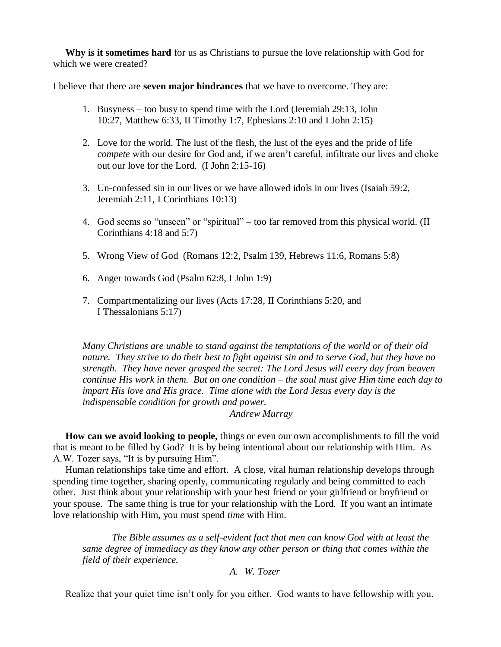**Why is it sometimes hard** for us as Christians to pursue the love relationship with God for which we were created?

I believe that there are **seven major hindrances** that we have to overcome. They are:

- 1. Busyness too busy to spend time with the Lord (Jeremiah 29:13, John 10:27, Matthew 6:33, II Timothy 1:7, Ephesians 2:10 and I John 2:15)
- 2. Love for the world. The lust of the flesh, the lust of the eyes and the pride of life *compete* with our desire for God and, if we aren't careful, infiltrate our lives and choke out our love for the Lord. (I John 2:15-16)
- 3. Un-confessed sin in our lives or we have allowed idols in our lives (Isaiah 59:2, Jeremiah 2:11, I Corinthians 10:13)
- 4. God seems so "unseen" or "spiritual" too far removed from this physical world. (II Corinthians 4:18 and 5:7)
- 5. Wrong View of God (Romans 12:2, Psalm 139, Hebrews 11:6, Romans 5:8)
- 6. Anger towards God (Psalm 62:8, I John 1:9)
- 7. Compartmentalizing our lives (Acts 17:28, II Corinthians 5:20, and I Thessalonians 5:17)

*Many Christians are unable to stand against the temptations of the world or of their old nature. They strive to do their best to fight against sin and to serve God, but they have no strength. They have never grasped the secret: The Lord Jesus will every day from heaven continue His work in them. But on one condition – the soul must give Him time each day to impart His love and His grace. Time alone with the Lord Jesus every day is the indispensable condition for growth and power. Andrew Murray*

 **How can we avoid looking to people,** things or even our own accomplishments to fill the void that is meant to be filled by God? It is by being intentional about our relationship with Him. As A.W. Tozer says, "It is by pursuing Him".

 Human relationships take time and effort. A close, vital human relationship develops through spending time together, sharing openly, communicating regularly and being committed to each other. Just think about your relationship with your best friend or your girlfriend or boyfriend or your spouse. The same thing is true for your relationship with the Lord. If you want an intimate love relationship with Him, you must spend *time* with Him.

*The Bible assumes as a self-evident fact that men can know God with at least the same degree of immediacy as they know any other person or thing that comes within the field of their experience.*

*A. W. Tozer*

Realize that your quiet time isn't only for you either. God wants to have fellowship with you.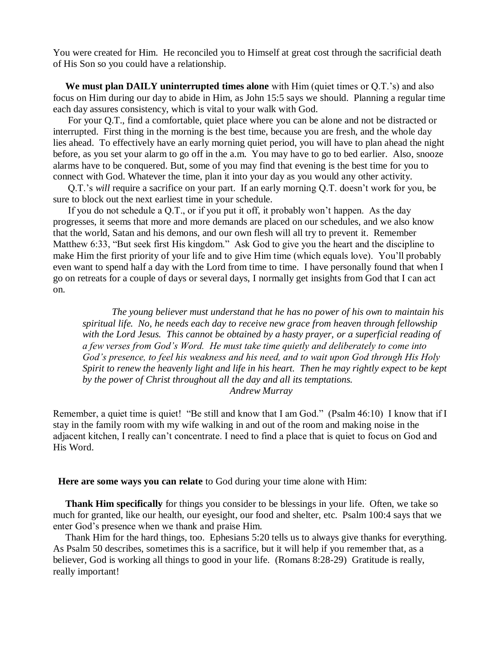You were created for Him. He reconciled you to Himself at great cost through the sacrificial death of His Son so you could have a relationship.

 **We must plan DAILY uninterrupted times alone** with Him (quiet times or Q.T.'s) and also focus on Him during our day to abide in Him, as John 15:5 says we should. Planning a regular time each day assures consistency, which is vital to your walk with God.

 For your Q.T., find a comfortable, quiet place where you can be alone and not be distracted or interrupted. First thing in the morning is the best time, because you are fresh, and the whole day lies ahead. To effectively have an early morning quiet period, you will have to plan ahead the night before, as you set your alarm to go off in the a.m. You may have to go to bed earlier. Also, snooze alarms have to be conquered. But, some of you may find that evening is the best time for you to connect with God. Whatever the time, plan it into your day as you would any other activity.

 Q.T.'s *will* require a sacrifice on your part. If an early morning Q.T. doesn't work for you, be sure to block out the next earliest time in your schedule.

 If you do not schedule a Q.T., or if you put it off, it probably won't happen. As the day progresses, it seems that more and more demands are placed on our schedules, and we also know that the world, Satan and his demons, and our own flesh will all try to prevent it. Remember Matthew 6:33, "But seek first His kingdom." Ask God to give you the heart and the discipline to make Him the first priority of your life and to give Him time (which equals love). You'll probably even want to spend half a day with the Lord from time to time. I have personally found that when I go on retreats for a couple of days or several days, I normally get insights from God that I can act on.

 *The young believer must understand that he has no power of his own to maintain his spiritual life. No, he needs each day to receive new grace from heaven through fellowship with the Lord Jesus. This cannot be obtained by a hasty prayer, or a superficial reading of a few verses from God's Word. He must take time quietly and deliberately to come into God's presence, to feel his weakness and his need, and to wait upon God through His Holy Spirit to renew the heavenly light and life in his heart. Then he may rightly expect to be kept by the power of Christ throughout all the day and all its temptations.*

*Andrew Murray*

Remember, a quiet time is quiet! "Be still and know that I am God." (Psalm 46:10) I know that if I stay in the family room with my wife walking in and out of the room and making noise in the adjacent kitchen, I really can't concentrate. I need to find a place that is quiet to focus on God and His Word.

## **Here are some ways you can relate** to God during your time alone with Him:

**Thank Him specifically** for things you consider to be blessings in your life. Often, we take so much for granted, like our health, our eyesight, our food and shelter, etc. Psalm 100:4 says that we enter God's presence when we thank and praise Him.

 Thank Him for the hard things, too. Ephesians 5:20 tells us to always give thanks for everything. As Psalm 50 describes, sometimes this is a sacrifice, but it will help if you remember that, as a believer, God is working all things to good in your life. (Romans 8:28-29) Gratitude is really, really important!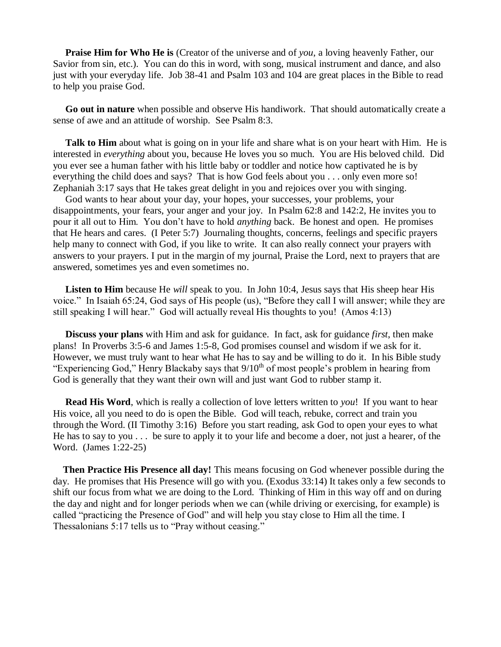**Praise Him for Who He is** (Creator of the universe and of *you*, a loving heavenly Father, our Savior from sin, etc.). You can do this in word, with song, musical instrument and dance, and also just with your everyday life. Job 38-41 and Psalm 103 and 104 are great places in the Bible to read to help you praise God.

 **Go out in nature** when possible and observe His handiwork. That should automatically create a sense of awe and an attitude of worship. See Psalm 8:3.

 **Talk to Him** about what is going on in your life and share what is on your heart with Him. He is interested in *everything* about you, because He loves you so much. You are His beloved child. Did you ever see a human father with his little baby or toddler and notice how captivated he is by everything the child does and says? That is how God feels about you . . . only even more so! Zephaniah 3:17 says that He takes great delight in you and rejoices over you with singing.

 God wants to hear about your day, your hopes, your successes, your problems, your disappointments, your fears, your anger and your joy. In Psalm 62:8 and 142:2, He invites you to pour it all out to Him. You don't have to hold *anything* back. Be honest and open. He promises that He hears and cares. (I Peter 5:7) Journaling thoughts, concerns, feelings and specific prayers help many to connect with God, if you like to write. It can also really connect your prayers with answers to your prayers. I put in the margin of my journal, Praise the Lord, next to prayers that are answered, sometimes yes and even sometimes no.

 **Listen to Him** because He *will* speak to you. In John 10:4, Jesus says that His sheep hear His voice." In Isaiah 65:24, God says of His people (us), "Before they call I will answer; while they are still speaking I will hear." God will actually reveal His thoughts to you! (Amos 4:13)

 **Discuss your plans** with Him and ask for guidance. In fact, ask for guidance *first*, then make plans! In Proverbs 3:5-6 and James 1:5-8, God promises counsel and wisdom if we ask for it. However, we must truly want to hear what He has to say and be willing to do it. In his Bible study "Experiencing God," Henry Blackaby says that 9/10<sup>th</sup> of most people's problem in hearing from God is generally that they want their own will and just want God to rubber stamp it.

 **Read His Word**, which is really a collection of love letters written to *you*! If you want to hear His voice, all you need to do is open the Bible. God will teach, rebuke, correct and train you through the Word. (II Timothy 3:16) Before you start reading, ask God to open your eyes to what He has to say to you . . . be sure to apply it to your life and become a doer, not just a hearer, of the Word. (James 1:22-25)

 **Then Practice His Presence all day!** This means focusing on God whenever possible during the day. He promises that His Presence will go with you. (Exodus 33:14) It takes only a few seconds to shift our focus from what we are doing to the Lord. Thinking of Him in this way off and on during the day and night and for longer periods when we can (while driving or exercising, for example) is called "practicing the Presence of God" and will help you stay close to Him all the time. I Thessalonians 5:17 tells us to "Pray without ceasing."